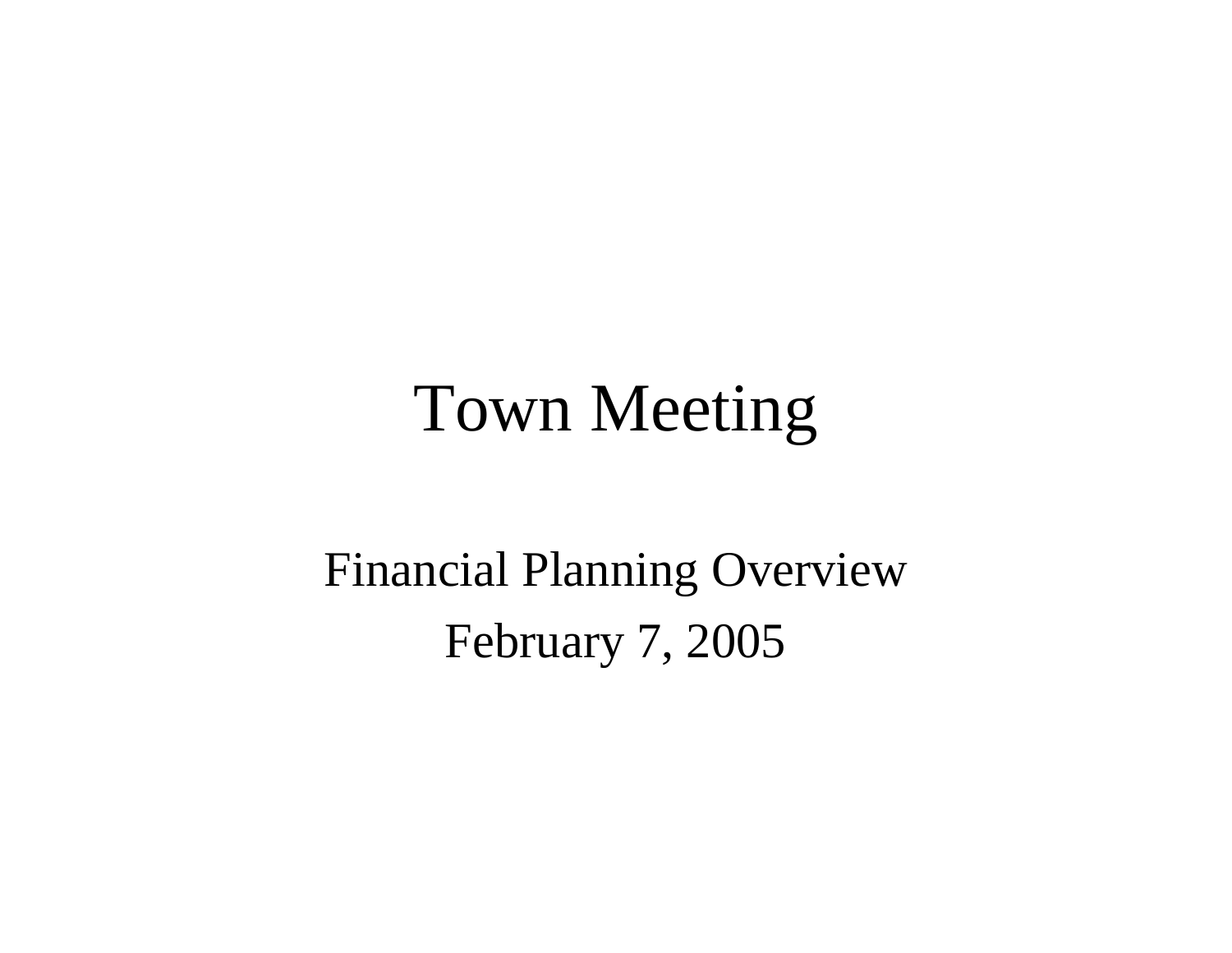### Town Meeting

Financial Planning Overview February 7, 2005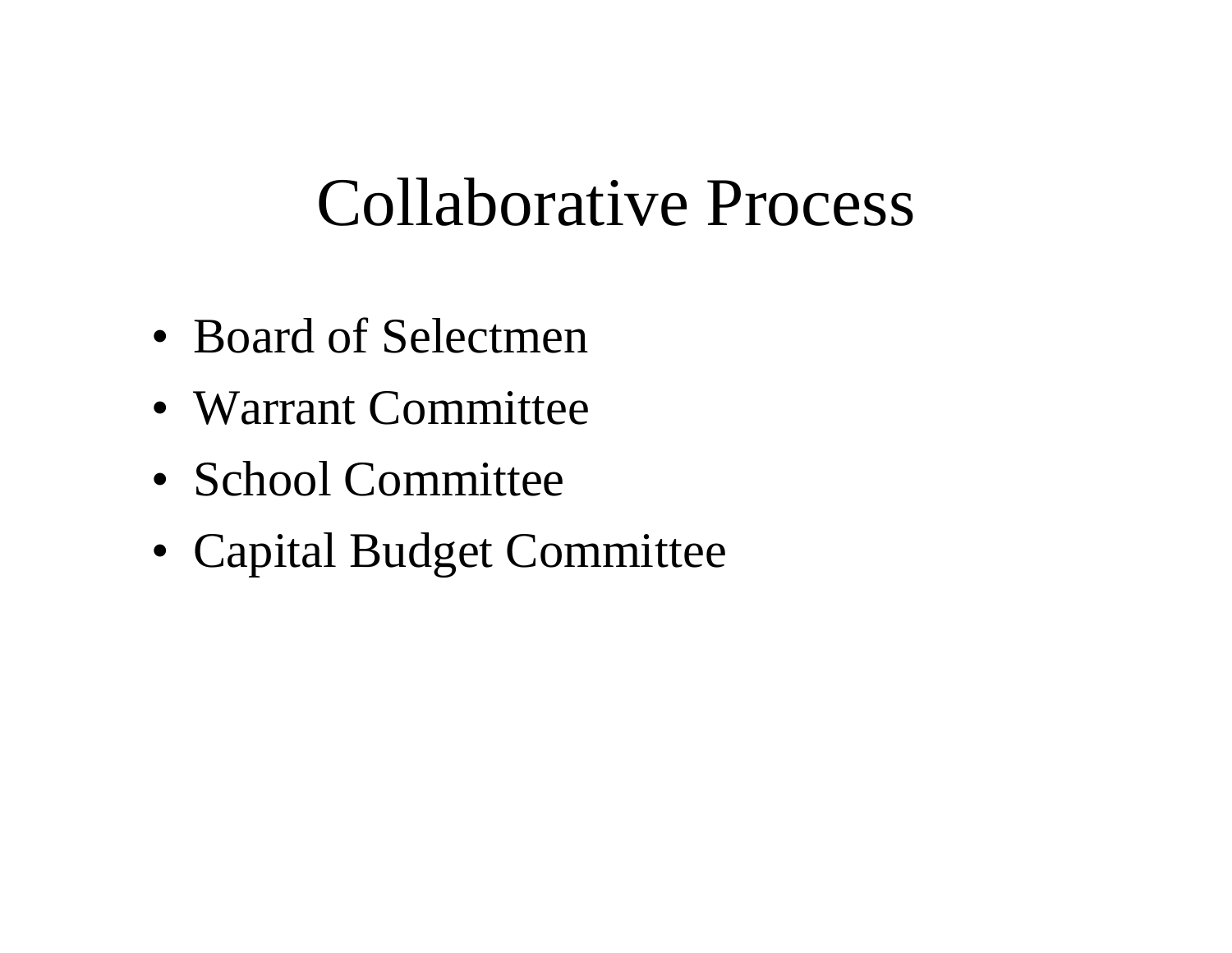### Collaborative Process

- Board of Selectmen
- •Warrant Committee
- School Committee
- •Capital Budget Committee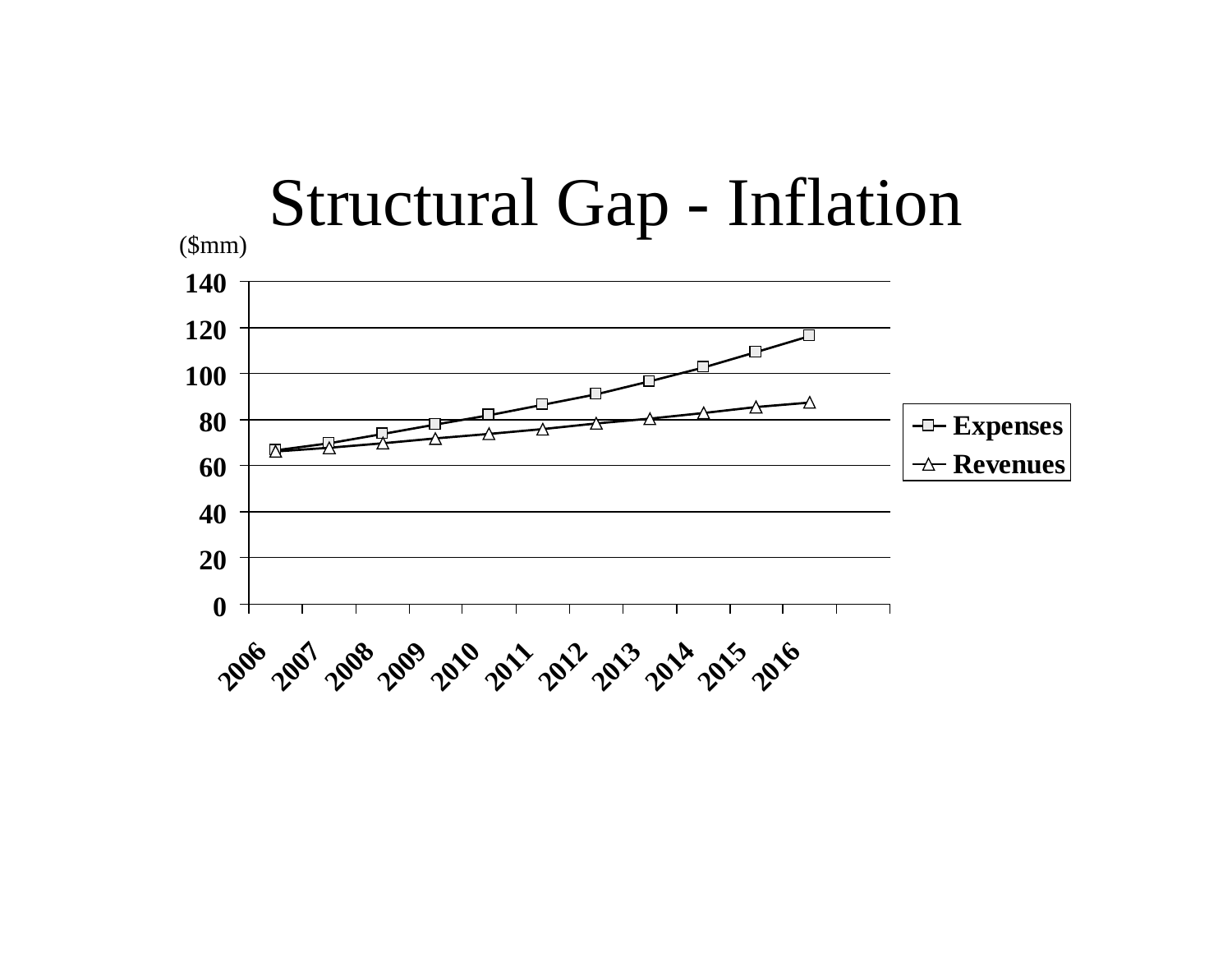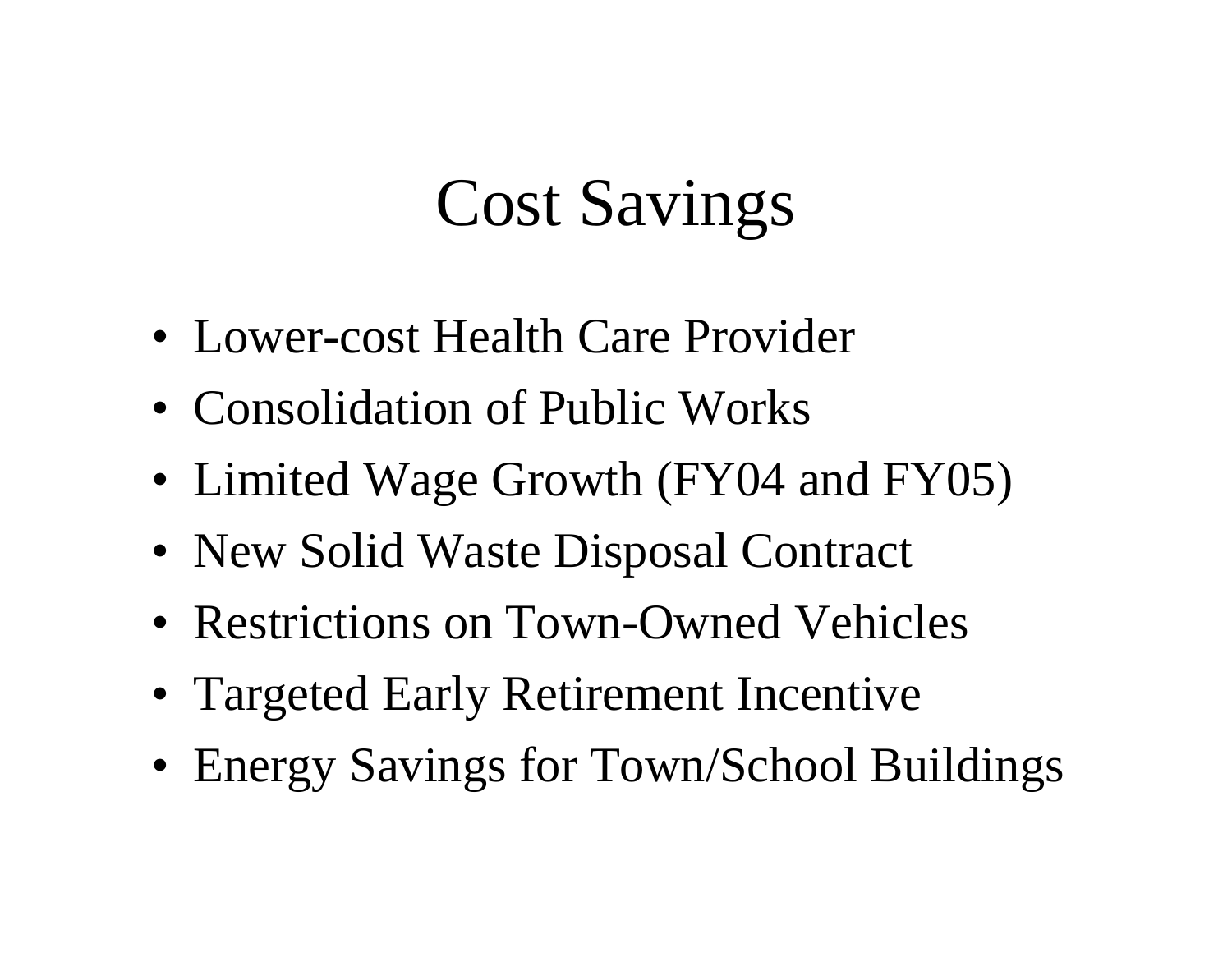# Cost Savings

- Lower-cost Health Care Provider
- Consolidation of Public Works
- Limited Wage Growth (FY04 and FY05)
- New Solid Waste Disposal Contract
- Restrictions on Town-Owned Vehicles
- Targeted Early Retirement Incentive
- Energy Savings for Town/School Buildings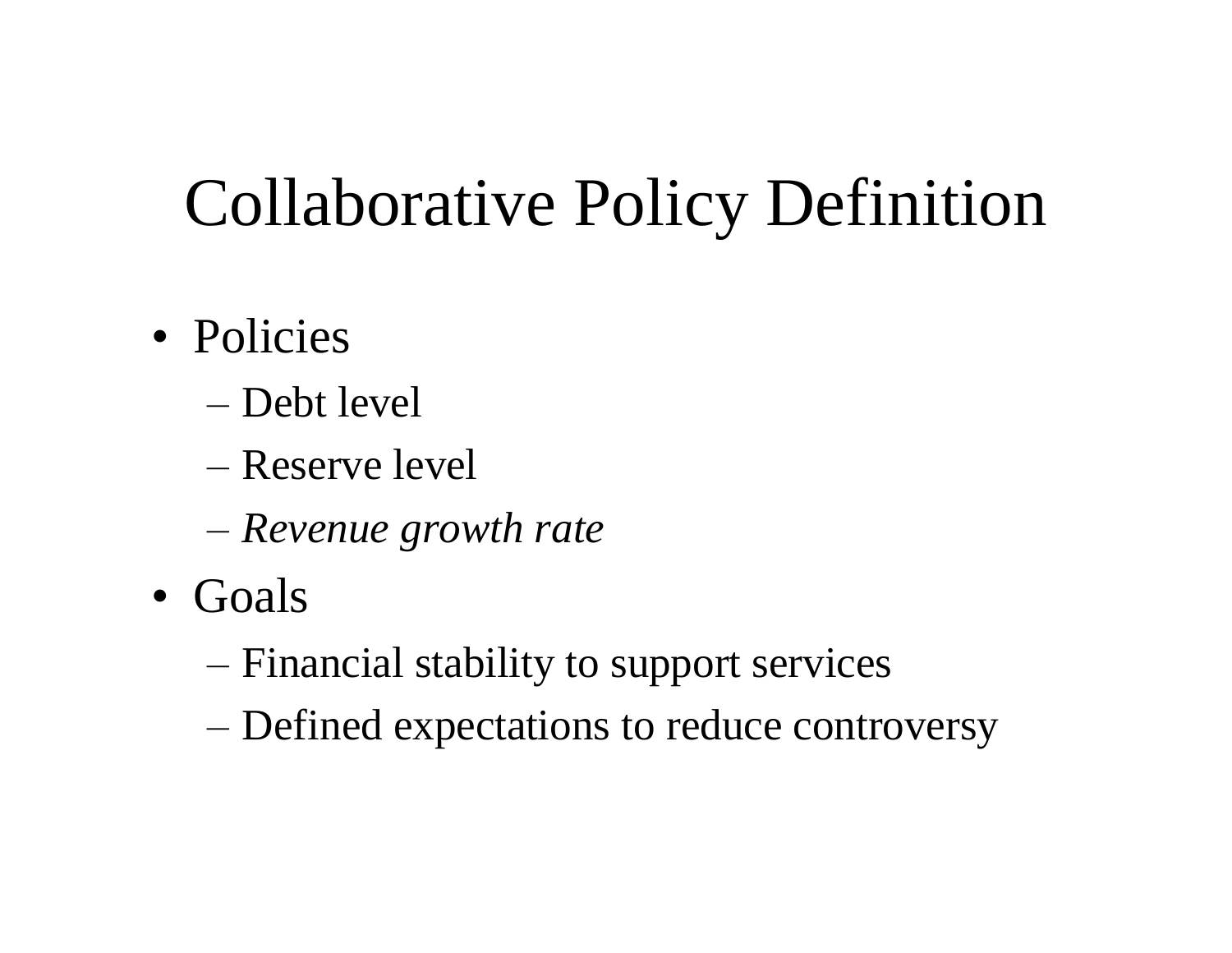# Collaborative Policy Definition

- Policies
	- –Debt level
	- –Reserve level
	- –*Revenue growth rate*
- •Goals
	- –Financial stability to support services
	- –Defined expectations to reduce controversy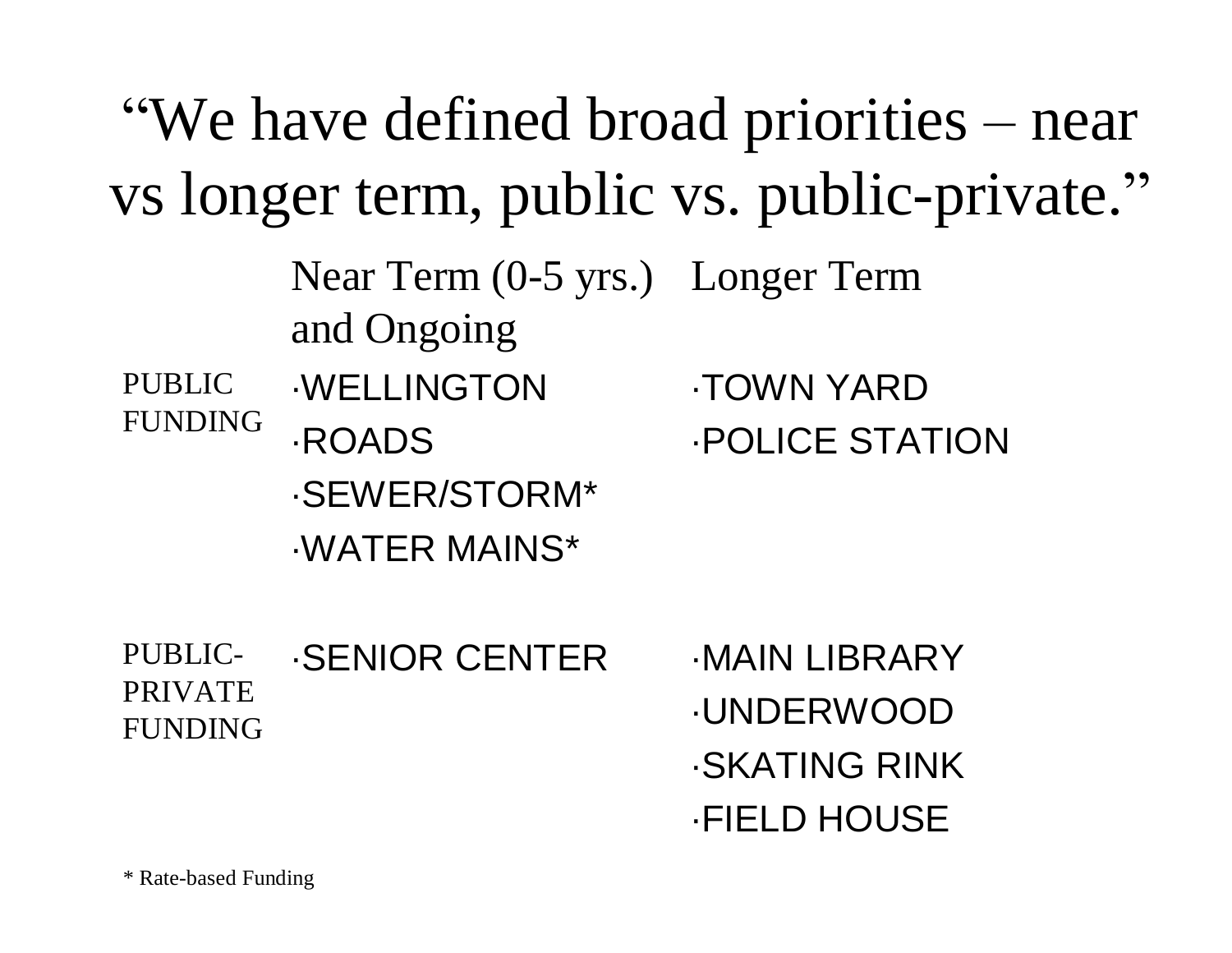|                                             |                                                 | "We have defined broad priorities – near" |  |  |  |  |
|---------------------------------------------|-------------------------------------------------|-------------------------------------------|--|--|--|--|
| vs longer term, public vs. public-private." |                                                 |                                           |  |  |  |  |
| <b>PUBLIC</b><br><b>FUNDING</b>             | Near Term (0-5 yrs.) Longer Term<br>and Ongoing |                                           |  |  |  |  |
|                                             | <b>WELLINGTON</b>                               | <b>TOWN YARD</b>                          |  |  |  |  |
|                                             | <b>ROADS</b>                                    | <b>POLICE STATION</b>                     |  |  |  |  |
|                                             | -SEWER/STORM*                                   |                                           |  |  |  |  |
|                                             | <b>WATER MAINS*</b>                             |                                           |  |  |  |  |
| PUBLIC-<br><b>PRIVATE</b><br><b>FUNDING</b> | <b>SENIOR CENTER</b>                            | <b>MAIN LIBRARY</b>                       |  |  |  |  |
|                                             |                                                 | <b>.UNDERWOOD</b>                         |  |  |  |  |
|                                             |                                                 | <b>SKATING RINK</b>                       |  |  |  |  |

·FIELD HOUSE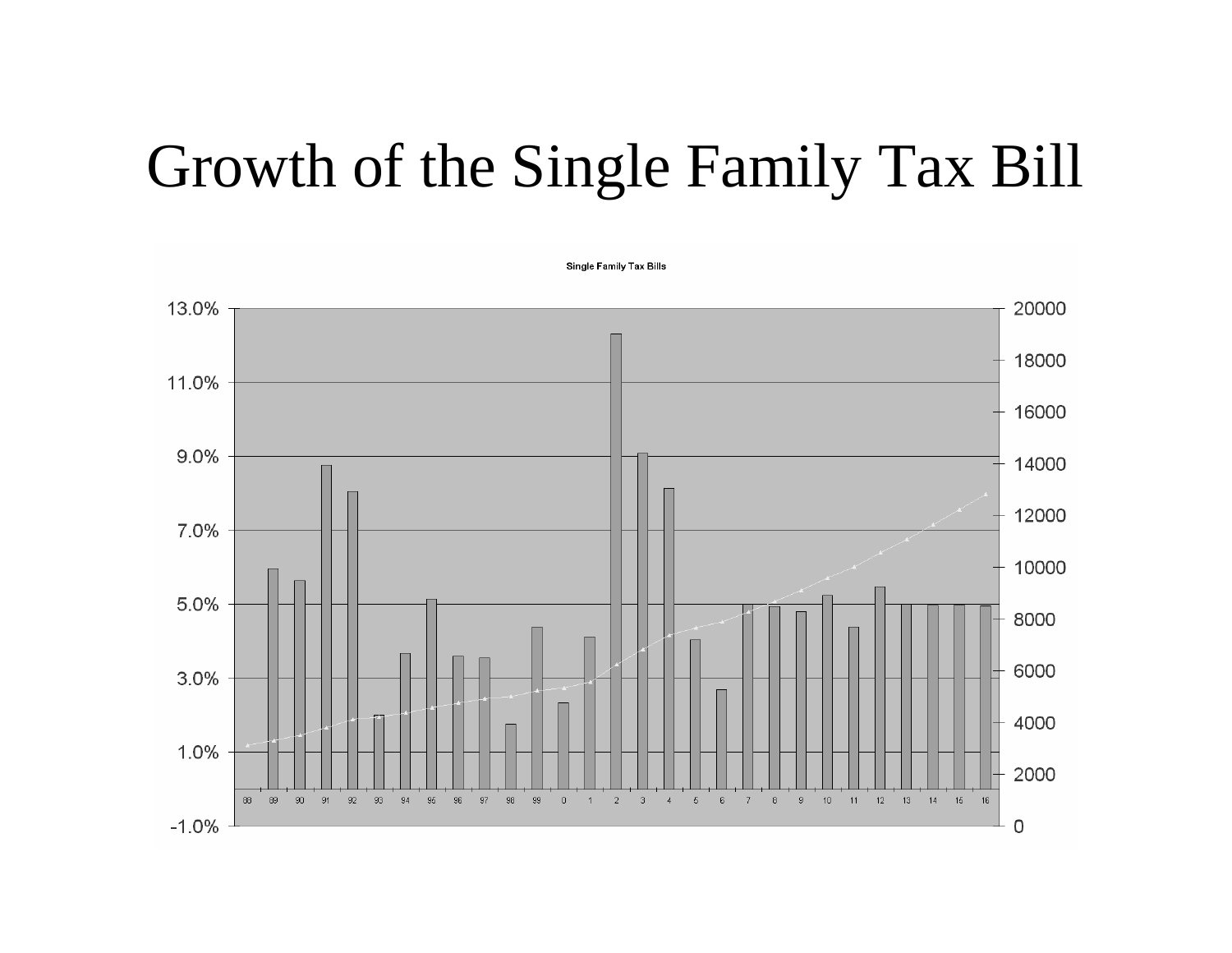#### Growth of the Single Family Tax Bill

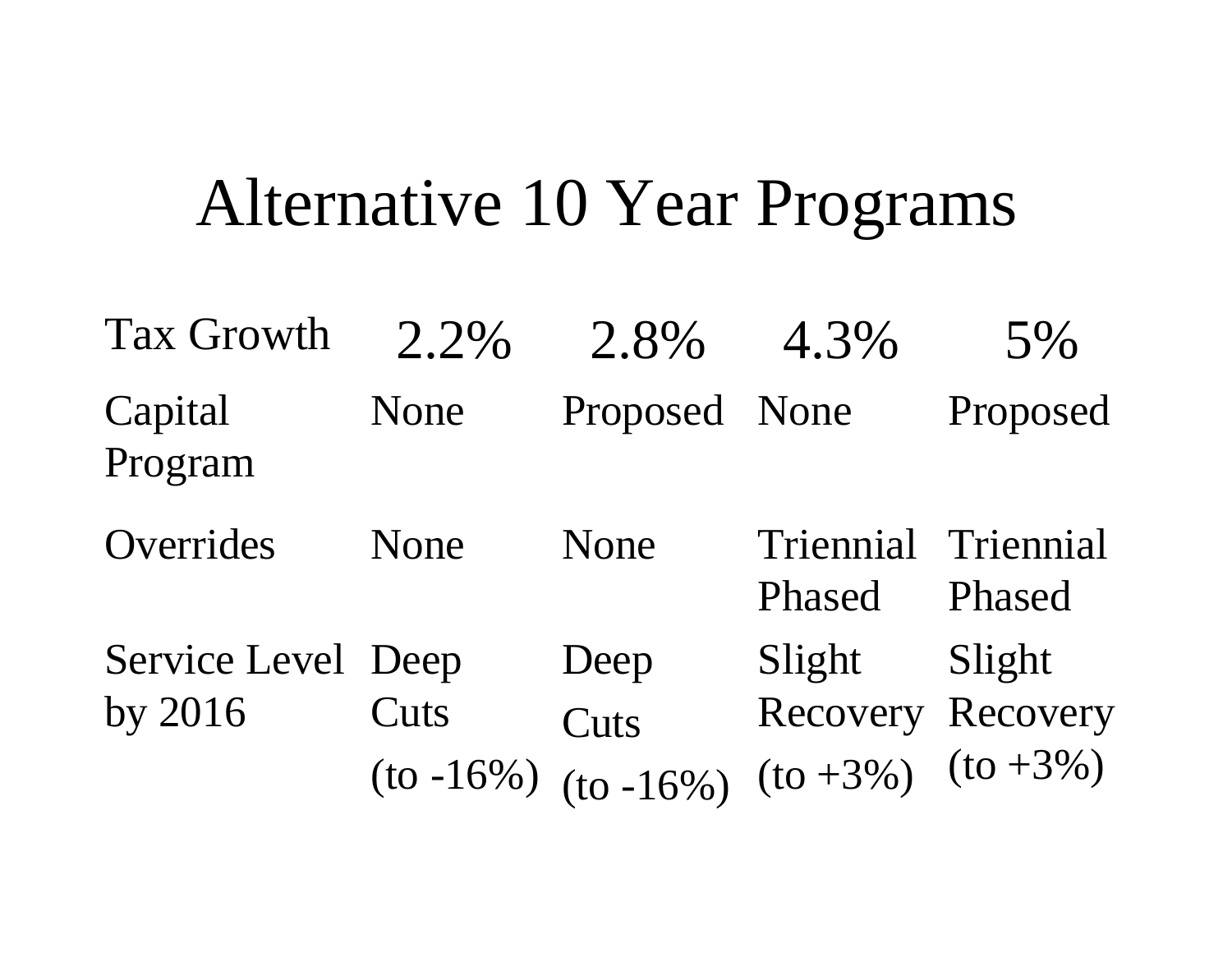### Alternative 10 Year Programs

| <b>Tax Growth</b>  | $2.2\%$         | 2.8%          | 4.3%                       | 5%                  |
|--------------------|-----------------|---------------|----------------------------|---------------------|
| Capital<br>Program | None            | Proposed None |                            | Proposed            |
| Overrides          | None            | None          | <b>Triennial</b><br>Phased | Triennial<br>Phased |
| Service Level Deep |                 | Deep          | Slight                     | Slight              |
| by 2016            | Cuts            | Cuts          | Recovery Recovery          |                     |
|                    | $($ to -16% $)$ | $(to -16\%)$  | $(to +3\%)$ $(to +3\%)$    |                     |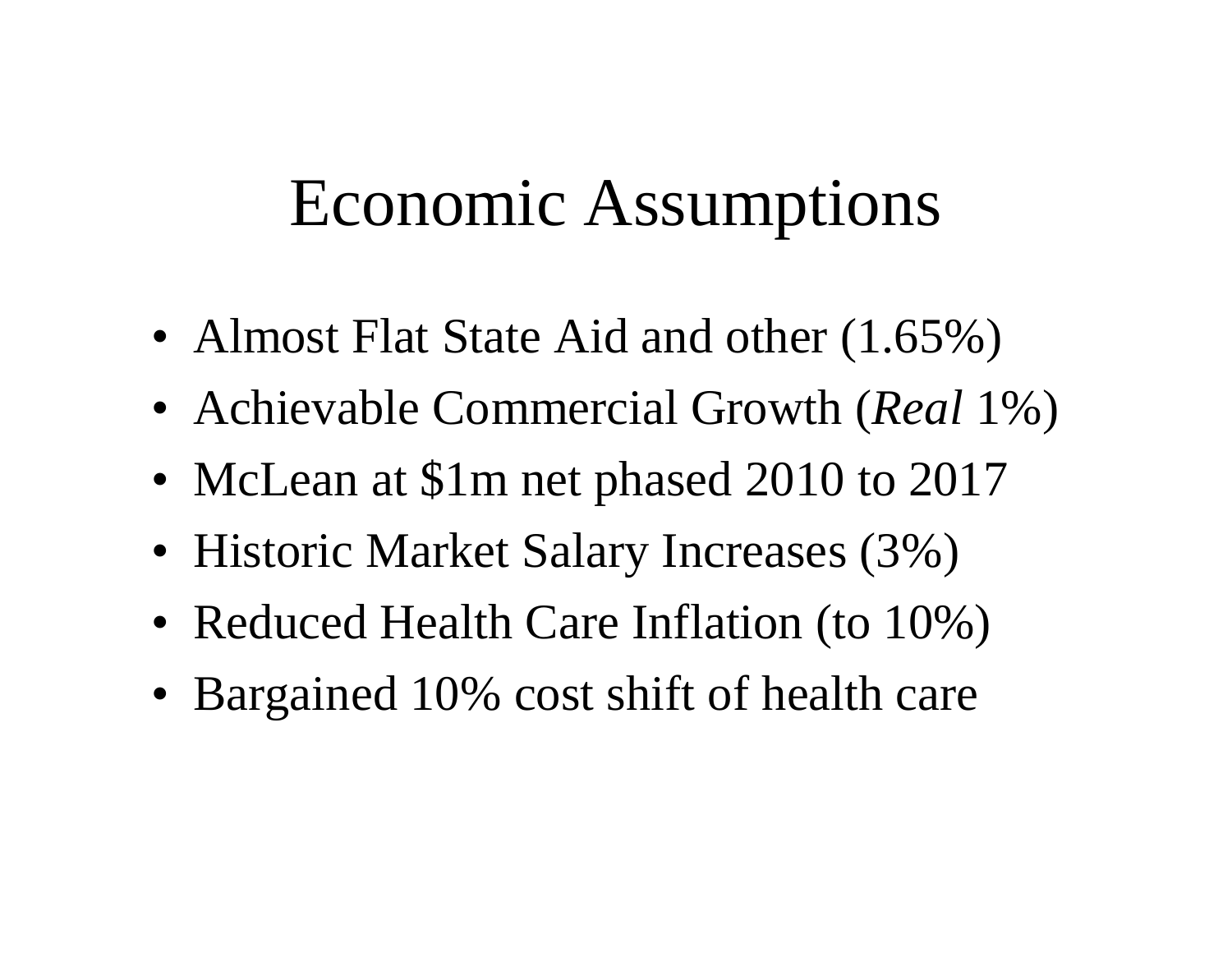#### Economic Assumptions

- Almost Flat State Aid and other  $(1.65\%)$
- •Achievable Commercial Growth (*Real* 1%)
- McLean at \$1m net phased 2010 to 2017
- Historic Market Salary Increases (3%)
- Reduced Health Care Inflation (to 10%)
- Bargained 10% cost shift of health care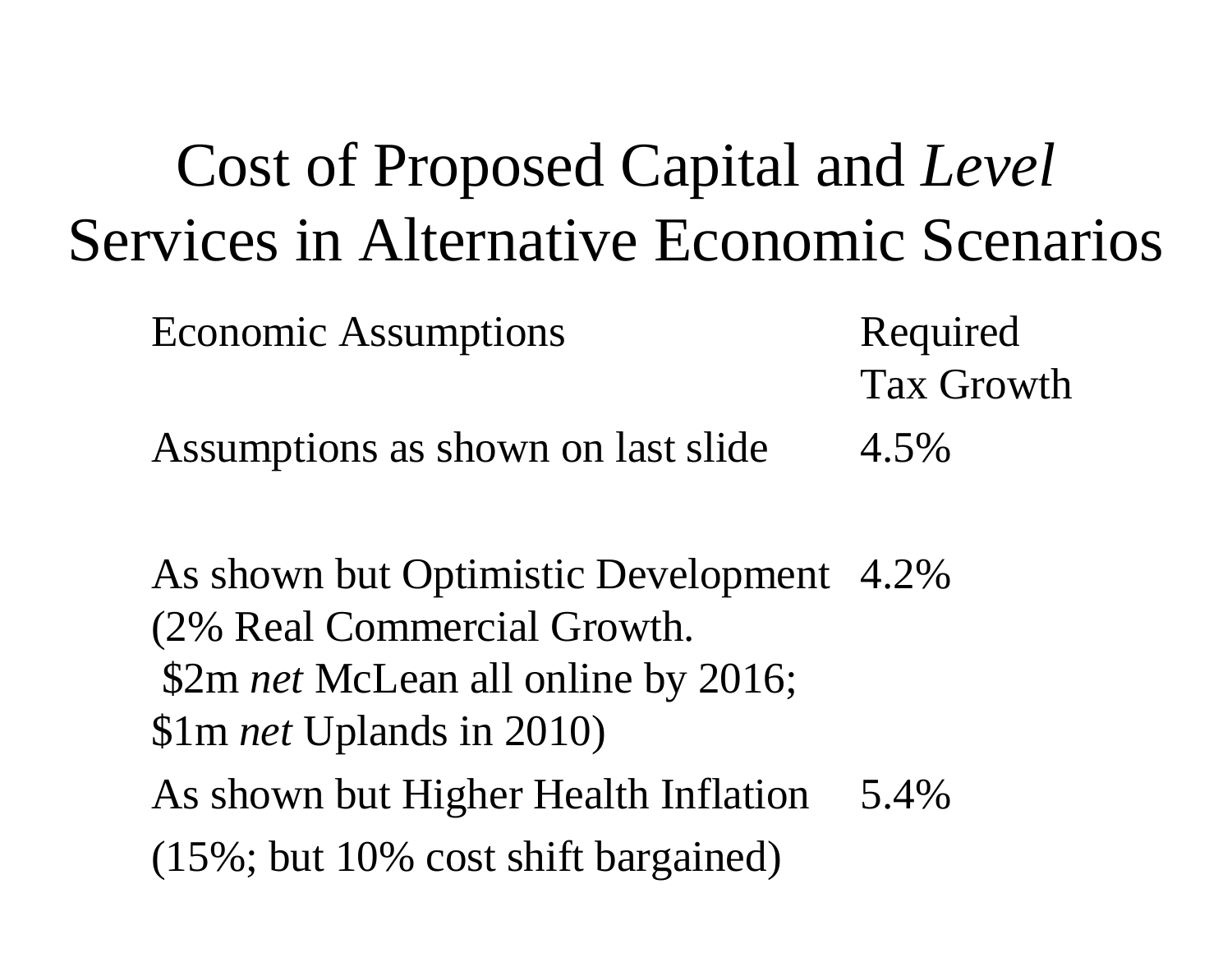### Cost of Proposed Capital and *Level* Services in Alternative Economic Scenarios

Economic Assumptions

Required Tax Growth

Assumptions as shown on last slide 4.5%

As shown but Higher Health Inflation 5.4% As shown but Optimistic Development 4.2% (2% Real Commercial Growth. \$2m *net* McLean all online by 2016; \$1m *net* Uplands in 2010)

(15%; but 10% cost shift bargained)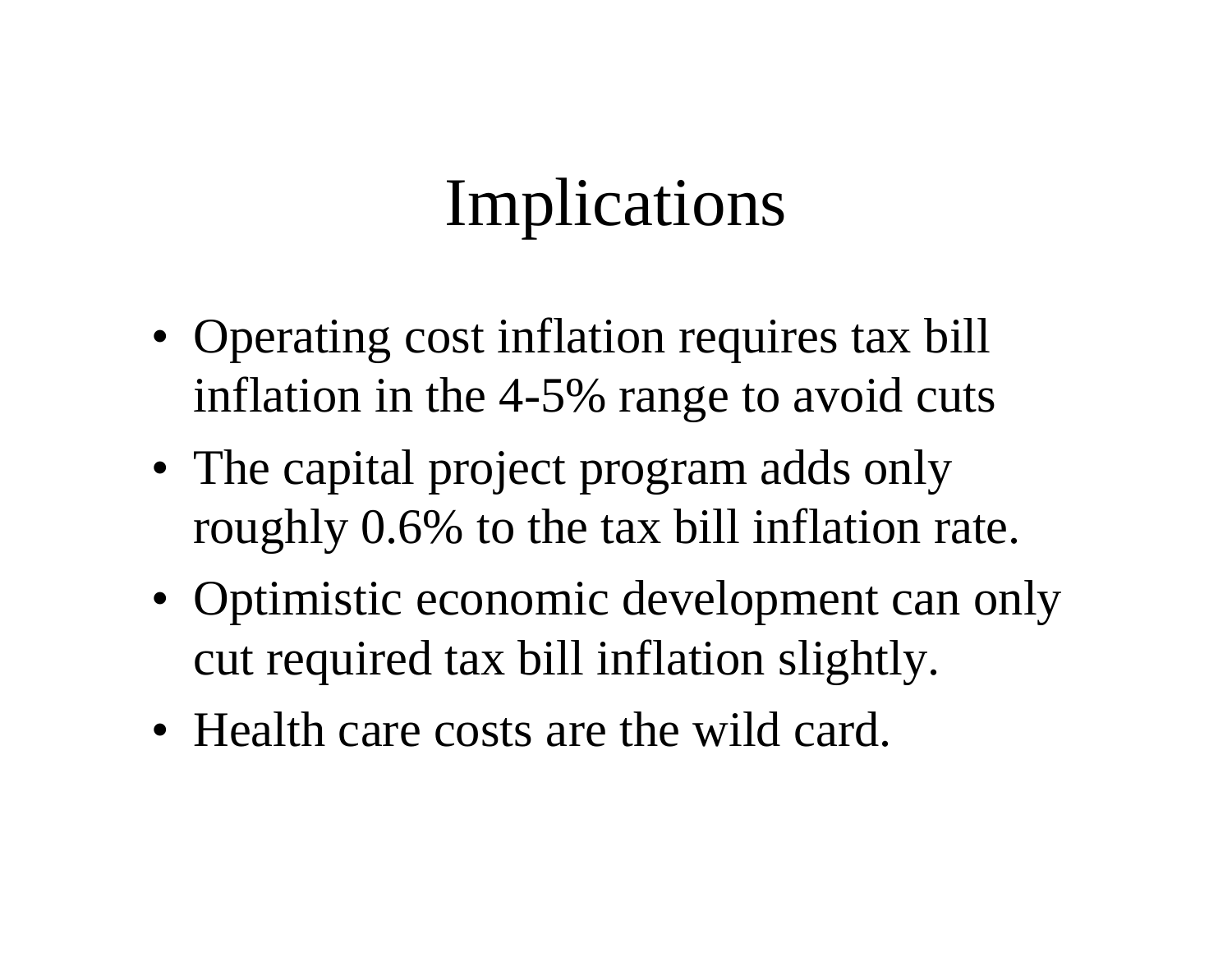# Implications

- Operating cost inflation requires tax bill inflation in the 4-5% range to avoid cuts
- The capital project program adds only roughly 0.6% to the tax bill inflation rate.
- Optimistic economic development can only cut required tax bill inflation slightly.
- Health care costs are the wild card.